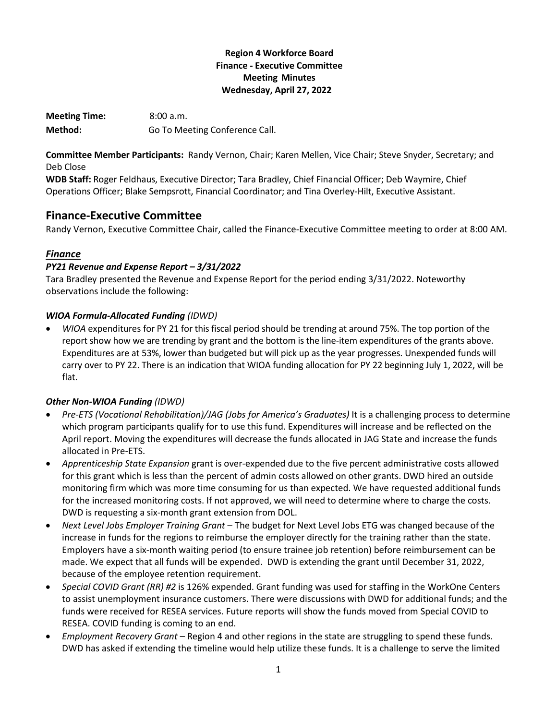## **Region 4 Workforce Board Finance - Executive Committee Meeting Minutes Wednesday, April 27, 2022**

**Meeting Time:** 8:00 a.m. Method: Go To Meeting Conference Call.

**Committee Member Participants:** Randy Vernon, Chair; Karen Mellen, Vice Chair; Steve Snyder, Secretary; and Deb Close

**WDB Staff:** Roger Feldhaus, Executive Director; Tara Bradley, Chief Financial Officer; Deb Waymire, Chief Operations Officer; Blake Sempsrott, Financial Coordinator; and Tina Overley-Hilt, Executive Assistant.

# **Finance-Executive Committee**

Randy Vernon, Executive Committee Chair, called the Finance-Executive Committee meeting to order at 8:00 AM.

# *Finance*

## *PY21 Revenue and Expense Report – 3/31/2022*

Tara Bradley presented the Revenue and Expense Report for the period ending 3/31/2022. Noteworthy observations include the following:

## *WIOA Formula-Allocated Funding (IDWD)*

• *WIOA* expenditures for PY 21 for this fiscal period should be trending at around 75%. The top portion of the report show how we are trending by grant and the bottom is the line-item expenditures of the grants above. Expenditures are at 53%, lower than budgeted but will pick up as the year progresses. Unexpended funds will carry over to PY 22. There is an indication that WIOA funding allocation for PY 22 beginning July 1, 2022, will be flat.

# *Other Non-WIOA Funding (IDWD)*

- *Pre-ETS (Vocational Rehabilitation)/JAG (Jobs for America's Graduates)* It is a challenging process to determine which program participants qualify for to use this fund. Expenditures will increase and be reflected on the April report. Moving the expenditures will decrease the funds allocated in JAG State and increase the funds allocated in Pre-ETS.
- *Apprenticeship State Expansion* grant is over-expended due to the five percent administrative costs allowed for this grant which is less than the percent of admin costs allowed on other grants. DWD hired an outside monitoring firm which was more time consuming for us than expected. We have requested additional funds for the increased monitoring costs. If not approved, we will need to determine where to charge the costs. DWD is requesting a six-month grant extension from DOL.
- *Next Level Jobs Employer Training Grant* The budget for Next Level Jobs ETG was changed because of the increase in funds for the regions to reimburse the employer directly for the training rather than the state. Employers have a six-month waiting period (to ensure trainee job retention) before reimbursement can be made. We expect that all funds will be expended. DWD is extending the grant until December 31, 2022, because of the employee retention requirement.
- *Special COVID Grant (RR) #2* is 126% expended. Grant funding was used for staffing in the WorkOne Centers to assist unemployment insurance customers. There were discussions with DWD for additional funds; and the funds were received for RESEA services. Future reports will show the funds moved from Special COVID to RESEA. COVID funding is coming to an end.
- *Employment Recovery Grant –* Region 4 and other regions in the state are struggling to spend these funds. DWD has asked if extending the timeline would help utilize these funds. It is a challenge to serve the limited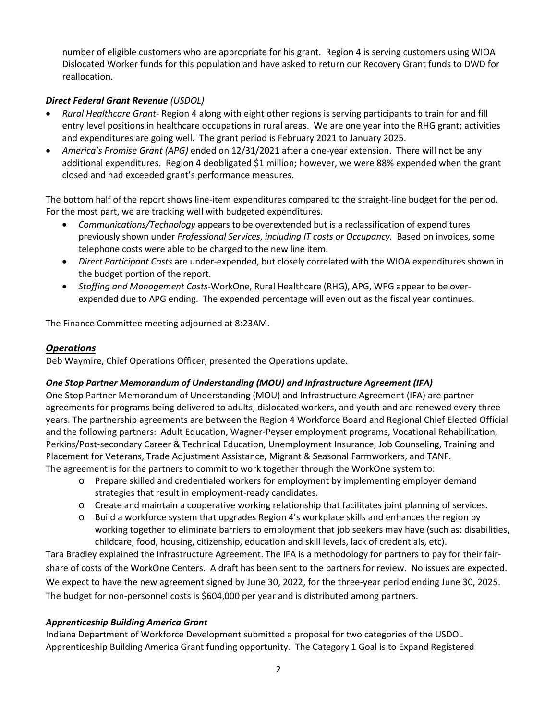number of eligible customers who are appropriate for his grant. Region 4 is serving customers using WIOA Dislocated Worker funds for this population and have asked to return our Recovery Grant funds to DWD for reallocation.

#### *Direct Federal Grant Revenue (USDOL)*

- *Rural Healthcare Grant* Region 4 along with eight other regions is serving participants to train for and fill entry level positions in healthcare occupations in rural areas. We are one year into the RHG grant; activities and expenditures are going well. The grant period is February 2021 to January 2025.
- *America's Promise Grant (APG)* ended on 12/31/2021 after a one-year extension. There will not be any additional expenditures. Region 4 deobligated \$1 million; however, we were 88% expended when the grant closed and had exceeded grant's performance measures.

The bottom half of the report shows line-item expenditures compared to the straight-line budget for the period. For the most part, we are tracking well with budgeted expenditures.

- *Communications/Technology* appears to be overextended but is a reclassification of expenditures previously shown under *Professional Services*, *including IT costs or Occupancy.* Based on invoices, some telephone costs were able to be charged to the new line item.
- *Direct Participant Costs* are under-expended, but closely correlated with the WIOA expenditures shown in the budget portion of the report.
- *Staffing and Management Costs*-WorkOne, Rural Healthcare (RHG), APG, WPG appear to be overexpended due to APG ending. The expended percentage will even out as the fiscal year continues.

The Finance Committee meeting adjourned at 8:23AM.

#### *Operations*

Deb Waymire, Chief Operations Officer, presented the Operations update.

#### *One Stop Partner Memorandum of Understanding (MOU) and Infrastructure Agreement (IFA)*

One Stop Partner Memorandum of Understanding (MOU) and Infrastructure Agreement (IFA) are partner agreements for programs being delivered to adults, dislocated workers, and youth and are renewed every three years. The partnership agreements are between the Region 4 Workforce Board and Regional Chief Elected Official and the following partners: Adult Education, Wagner-Peyser employment programs, Vocational Rehabilitation, Perkins/Post-secondary Career & Technical Education, Unemployment Insurance, Job Counseling, Training and Placement for Veterans, Trade Adjustment Assistance, Migrant & Seasonal Farmworkers, and TANF. The agreement is for the partners to commit to work together through the WorkOne system to:

- o Prepare skilled and credentialed workers for employment by implementing employer demand strategies that result in employment-ready candidates.
- o Create and maintain a cooperative working relationship that facilitates joint planning of services.
- o Build a workforce system that upgrades Region 4's workplace skills and enhances the region by working together to eliminate barriers to employment that job seekers may have (such as: disabilities, childcare, food, housing, citizenship, education and skill levels, lack of credentials, etc).

Tara Bradley explained the Infrastructure Agreement. The IFA is a methodology for partners to pay for their fairshare of costs of the WorkOne Centers. A draft has been sent to the partners for review. No issues are expected. We expect to have the new agreement signed by June 30, 2022, for the three-year period ending June 30, 2025. The budget for non-personnel costs is \$604,000 per year and is distributed among partners.

#### *Apprenticeship Building America Grant*

Indiana Department of Workforce Development submitted a proposal for two categories of the USDOL Apprenticeship Building America Grant funding opportunity. The Category 1 Goal is to Expand Registered